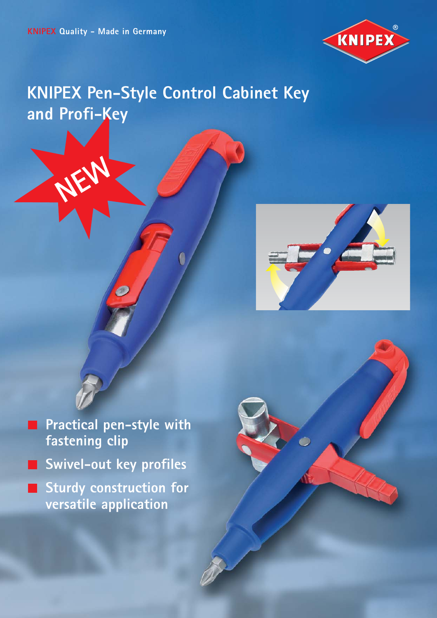**NEW**



## **KNIPEX Pen-Style Control Cabinet Key and Profi-Key**



**Practical pen-style with** m. **fastening clip Swivel-out key profiles** 

Ø

**Sturdy construction for versatile application**